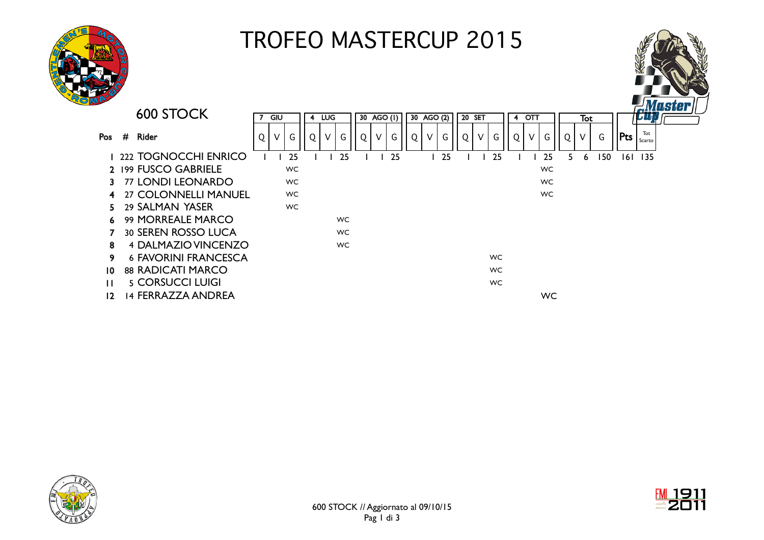

## TROFEO MASTERCUP 2015





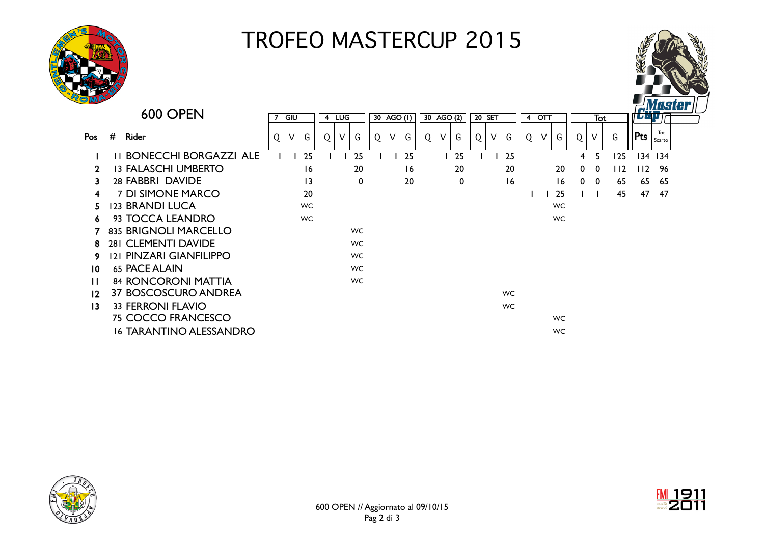

## TROFEO MASTERCUP 2015



|                                             |                 |           |                                    |                |     |                                                               |        |    |            |    |    |            |    |                      |                        |        |              |                                                |     | <i><b>Cüp Antiques</b></i> |      |     |                          |
|---------------------------------------------|-----------------|-----------|------------------------------------|----------------|-----|---------------------------------------------------------------|--------|----|------------|----|----|------------|----|----------------------|------------------------|--------|--------------|------------------------------------------------|-----|----------------------------|------|-----|--------------------------|
|                                             |                 |           |                                    |                |     |                                                               |        |    |            |    |    |            |    |                      |                        |        |              |                                                |     |                            |      |     |                          |
| #<br><b>Rider</b>                           | Q               | G         | Q                                  | V              | G   | Q                                                             | $\vee$ | G  | Q          | V  | G  |            | V  | G                    | Q                      | $\vee$ | G            | Q                                              | V   | G                          | Pts  | Tot |                          |
| <b>II BONECCHI BORGAZZI ALE</b>             |                 | 25        |                                    |                |     |                                                               |        | 25 |            |    | 25 |            |    | 25                   |                        |        |              | 4                                              | 5.  | 125                        |      |     |                          |
| <b>13 FALASCHI UMBERTO</b>                  |                 |           |                                    | 20             |     |                                                               | 16     |    |            | 20 |    |            | 20 |                      |                        | 20     | $\mathbf{0}$ | $\mathbf 0$                                    | 112 |                            | - 96 |     |                          |
| 28 FABBRI DAVIDE                            |                 |           |                                    | 0              |     |                                                               | 20     |    |            | 0  |    |            | 16 |                      |                        | 16     |              | - 0                                            | 65  | 65                         | -65  |     |                          |
| 7 DI SIMONE MARCO<br>4                      |                 |           |                                    |                |     |                                                               |        |    |            |    |    |            |    |                      |                        | 25     |              |                                                | 45  | 47                         | -47  |     |                          |
| <b>123 BRANDI LUCA</b>                      |                 |           |                                    |                |     |                                                               |        |    |            |    |    |            |    |                      |                        |        |              |                                                |     |                            |      |     |                          |
| 93 TOCCA LEANDRO                            |                 | <b>WC</b> |                                    |                |     |                                                               |        |    |            |    |    |            |    |                      |                        |        |              |                                                |     |                            |      |     |                          |
| 835 BRIGNOLI MARCELLO                       |                 |           |                                    |                |     |                                                               |        |    |            |    |    |            |    |                      |                        |        |              |                                                |     |                            |      |     |                          |
| 281 CLEMENTI DAVIDE                         |                 |           |                                    |                |     |                                                               |        |    |            |    |    |            |    |                      |                        |        |              |                                                |     |                            |      |     |                          |
| 121 PINZARI GIANFILIPPO                     |                 |           |                                    |                |     |                                                               |        |    |            |    |    |            |    |                      |                        |        |              |                                                |     |                            |      |     |                          |
| <b>65 PACE ALAIN</b><br>10                  |                 |           |                                    |                |     |                                                               |        |    |            |    |    |            |    |                      |                        |        |              |                                                |     |                            |      |     |                          |
| <b>84 RONCORONI MATTIA</b>                  |                 |           |                                    |                |     |                                                               |        |    |            |    |    |            |    |                      |                        |        |              |                                                |     |                            |      |     |                          |
| <b>37 BOSCOSCURO ANDREA</b><br>12           |                 |           |                                    |                |     |                                                               |        |    |            |    |    |            |    |                      |                        |        |              |                                                |     |                            |      |     |                          |
| <b>33 FERRONI FLAVIO</b><br>$\overline{13}$ |                 |           |                                    |                |     |                                                               |        |    |            |    |    |            |    |                      |                        |        |              |                                                |     |                            |      |     |                          |
| <b>75 COCCO FRANCESCO</b>                   |                 |           |                                    |                |     |                                                               |        |    |            |    |    |            |    |                      |                        |        |              |                                                |     |                            |      |     |                          |
| <b>16 TARANTINO ALESSANDRO</b>              |                 |           |                                    |                |     |                                                               |        |    |            |    |    |            |    |                      |                        |        | <b>WC</b>    |                                                |     |                            |      |     |                          |
|                                             | <b>600 OPEN</b> | 7<br>V    | GIU<br>16<br>13<br>20<br><b>WC</b> | $\overline{4}$ | LUG | 25<br><b>WC</b><br><b>WC</b><br><b>WC</b><br>WC.<br><b>WC</b> |        |    | 30 AGO (I) |    |    | 30 AGO (2) |    | 20 SET<br>$\sqrt{Q}$ | <b>WC</b><br><b>WC</b> |        |              | $4$ OTT<br><b>WC</b><br><b>WC</b><br><b>WC</b> |     | $\mathbf{0}$               | Tot  |     | Scarto<br>134 134<br>112 |